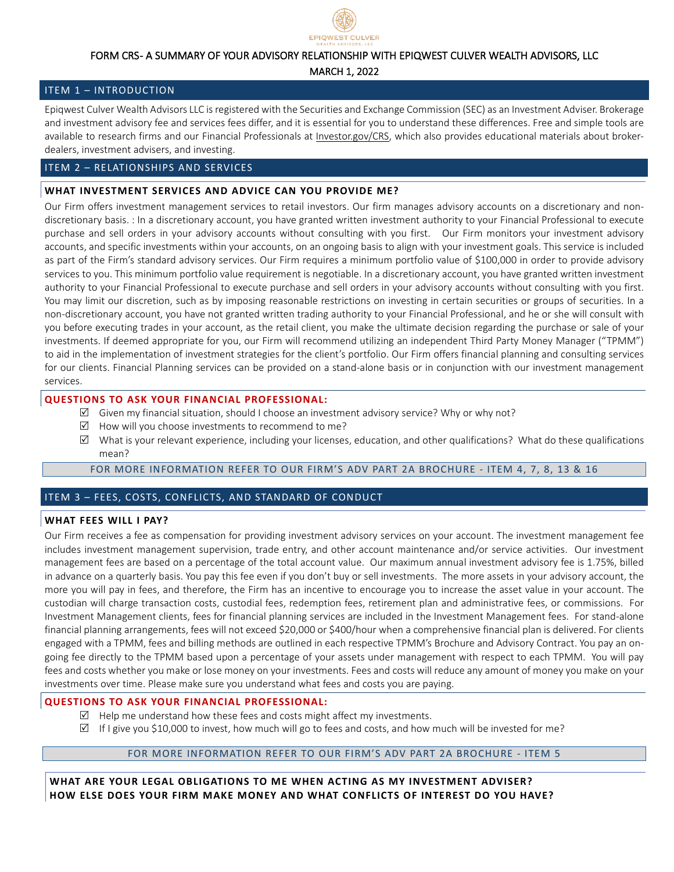

### FORM CRS - A SUMMARY OF YOUR ADVISORY RELATIONSHIP WITH EPIQWEST CULVER WEALTH ADVISORS, LLC

MARCH 1, 2022

### ITEM 1 – INTRODUCTION

Epiqwest Culver Wealth Advisors LLC is registered with the Securities and Exchange Commission (SEC) as an Investment Adviser. Brokerage and investment advisory fee and services fees differ, and it is essential for you to understand these differences. Free and simple tools are available to research firms and our Financial Professionals at [Investor.gov/CRS,](https://www.investor.gov/CRS) which also provides educational materials about brokerdealers, investment advisers, and investing.

# ITEM 2 – RELATIONSHIPS AND SERVICES

### **WHAT INVESTMENT SERVICES AND ADVICE CAN YOU PROVIDE ME?**

Our Firm offers investment management services to retail investors. Our firm manages advisory accounts on a discretionary and nondiscretionary basis. : In a discretionary account, you have granted written investment authority to your Financial Professional to execute purchase and sell orders in your advisory accounts without consulting with you first. Our Firm monitors your investment advisory accounts, and specific investments within your accounts, on an ongoing basis to align with your investment goals. This service is included as part of the Firm's standard advisory services. Our Firm requires a minimum portfolio value of \$100,000 in order to provide advisory services to you. This minimum portfolio value requirement is negotiable. In a discretionary account, you have granted written investment authority to your Financial Professional to execute purchase and sell orders in your advisory accounts without consulting with you first. You may limit our discretion, such as by imposing reasonable restrictions on investing in certain securities or groups of securities. In a non-discretionary account, you have not granted written trading authority to your Financial Professional, and he or she will consult with you before executing trades in your account, as the retail client, you make the ultimate decision regarding the purchase or sale of your investments. If deemed appropriate for you, our Firm will recommend utilizing an independent Third Party Money Manager ("TPMM") to aid in the implementation of investment strategies for the client's portfolio. Our Firm offers financial planning and consulting services for our clients. Financial Planning services can be provided on a stand-alone basis or in conjunction with our investment management services.

# **QUESTIONS TO ASK YOUR FINANCIAL PROFESSIONAL:**

- $\boxtimes$  Given my financial situation, should I choose an investment advisory service? Why or why not?
- $\boxtimes$  How will you choose investments to recommend to me?
- $\boxtimes$  What is your relevant experience, including your licenses, education, and other qualifications? What do these qualifications mean?

# FOR MORE [INFORMATION](https://adviserinfo.sec.gov/firm/summary/308980) REFER TO OUR FIRM'S ADV PART 2A BROCHURE - ITEM 4, 7, 8, 13 & 16

# ITEM 3 – FEES, COSTS, CONFLICTS, AND STANDARD OF CONDUCT

### **WHAT FEES WILL I PAY?**

Our Firm receives a fee as compensation for providing investment advisory services on your account. The investment management fee includes investment management supervision, trade entry, and other account maintenance and/or service activities. Our investment management fees are based on a percentage of the total account value. Our maximum annual investment advisory fee is 1.75%, billed in advance on a quarterly basis. You pay this fee even if you don't buy or sell investments. The more assets in your advisory account, the more you will pay in fees, and therefore, the Firm has an incentive to encourage you to increase the asset value in your account. The custodian will charge transaction costs, custodial fees, redemption fees, retirement plan and administrative fees, or commissions. For Investment Management clients, fees for financial planning services are included in the Investment Management fees. For stand-alone financial planning arrangements, fees will not exceed \$20,000 or \$400/hour when a comprehensive financial plan is delivered. For clients engaged with a TPMM, fees and billing methods are outlined in each respective TPMM's Brochure and Advisory Contract. You pay an ongoing fee directly to the TPMM based upon a percentage of your assets under management with respect to each TPMM. You will pay fees and costs whether you make or lose money on your investments. Fees and costs will reduce any amount of money you make on your investments over time. Please make sure you understand what fees and costs you are paying.

# **QUESTIONS TO ASK YOUR FINANCIAL PROFESSIONAL:**

- $\boxtimes$  Help me understand how these fees and costs might affect my investments.
- If I give you \$10,000 to invest, how much will go to fees and costs, and how much will be invested for me?

### FOR MORE [INFORMATION](https://adviserinfo.sec.gov/firm/summary/308980) REFER TO OUR FIRM'S ADV PART 2A BROCHURE - ITEM 5

**WHAT ARE YOUR LEGAL OBLIGATIONS TO ME WHEN ACTING AS MY INVESTMENT ADVISER? HOW ELSE DOES YOUR FIRM MAKE MONEY AND WHAT CONFLICTS OF INTEREST DO YOU HAVE?**